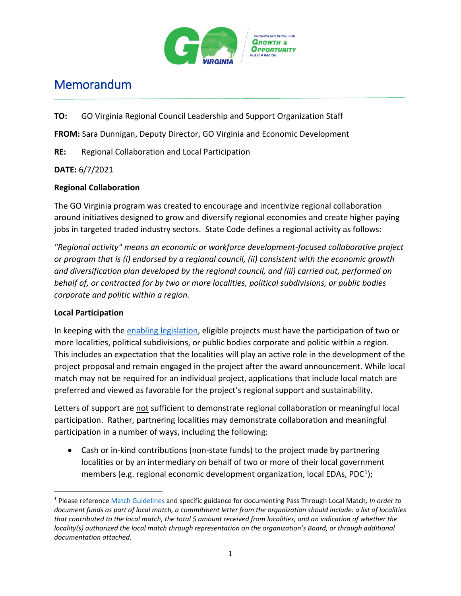

## Memorandum

**TO:** GO Virginia Regional Council Leadership and Support Organization Staff

**FROM:** Sara Dunnigan, Deputy Director, GO Virginia and Economic Development

**RE:** Regional Collaboration and Local Participation

## **DATE:** 6/7/2021

## **Regional Collaboration**

The GO Virginia program was created to encourage and incentivize regional collaboration around initiatives designed to grow and diversify regional economies and create higher paying jobs in targeted traded industry sectors. State Code defines a regional activity as follows:

*"Regional activity" means an economic or workforce development-focused collaborative project or program that is (i) endorsed by a regional council, (ii) consistent with the economic growth and diversification plan developed by the regional council, and (iii) carried out, performed on behalf of, or contracted for by two or more localities, political subdivisions, or public bodies corporate and politic within a region.*

## **Local Participation**

In keeping with the [enabling legislation,](https://law.lis.virginia.gov/vacodefull/title2.2/chapter24/article26/) eligible projects must have the participation of two or more localities, political subdivisions, or public bodies corporate and politic within a region. This includes an expectation that the localities will play an active role in the development of the project proposal and remain engaged in the project after the award announcement. While local match may not be required for an individual project, applications that include local match are preferred and viewed as favorable for the project's regional support and sustainability.

Letters of support are not sufficient to demonstrate regional collaboration or meaningful local participation. Rather, partnering localities may demonstrate collaboration and meaningful participation in a number of ways, including the following:

• Cash or in-kind contributions (non-state funds) to the project made by partnering localities or by an intermediary on behalf of two or more of their local government members (e.g. regional economic development organization, local EDAs, PDC<sup>[1](#page-0-0)</sup>);

<span id="page-0-0"></span> <sup>1</sup> Please referenc[e Match Guidelines a](https://www.dhcd.virginia.gov/sites/default/files/Docx/gova/regional-materials/gova-match-guidelines.pdf)nd specific guidance for documenting Pass Through Local Match*, In order to document funds as part of local match, a commitment letter from the organization should include: a list of localities that contributed to the local match, the total \$ amount received from localities, and an indication of whether the locality(s) authorized the local match through representation on the organization's Board, or through additional documentation attached.*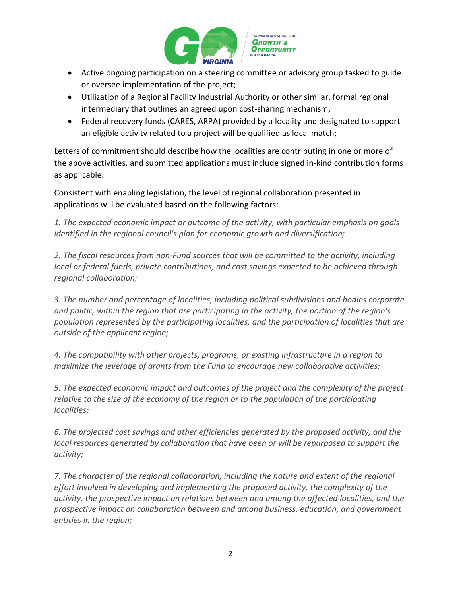

- Active ongoing participation on a steering committee or advisory group tasked to guide or oversee implementation of the project;
- Utilization of a Regional Facility Industrial Authority or other similar, formal regional intermediary that outlines an agreed upon cost-sharing mechanism;
- Federal recovery funds (CARES, ARPA) provided by a locality and designated to support an eligible activity related to a project will be qualified as local match;

Letters of commitment should describe how the localities are contributing in one or more of the above activities, and submitted applications must include signed in-kind contribution forms as applicable.

Consistent with enabling legislation, the level of regional collaboration presented in applications will be evaluated based on the following factors:

*1. The expected economic impact or outcome of the activity, with particular emphasis on goals identified in the regional council's plan for economic growth and diversification;*

*2. The fiscal resources from non-Fund sources that will be committed to the activity, including local or federal funds, private contributions, and cost savings expected to be achieved through regional collaboration;*

*3. The number and percentage of localities, including political subdivisions and bodies corporate and politic, within the region that are participating in the activity, the portion of the region's population represented by the participating localities, and the participation of localities that are outside of the applicant region;*

*4. The compatibility with other projects, programs, or existing infrastructure in a region to maximize the leverage of grants from the Fund to encourage new collaborative activities;*

*5. The expected economic impact and outcomes of the project and the complexity of the project relative to the size of the economy of the region or to the population of the participating localities;*

*6. The projected cost savings and other efficiencies generated by the proposed activity, and the local resources generated by collaboration that have been or will be repurposed to support the activity;*

*7. The character of the regional collaboration, including the nature and extent of the regional effort involved in developing and implementing the proposed activity, the complexity of the activity, the prospective impact on relations between and among the affected localities, and the prospective impact on collaboration between and among business, education, and government entities in the region;*